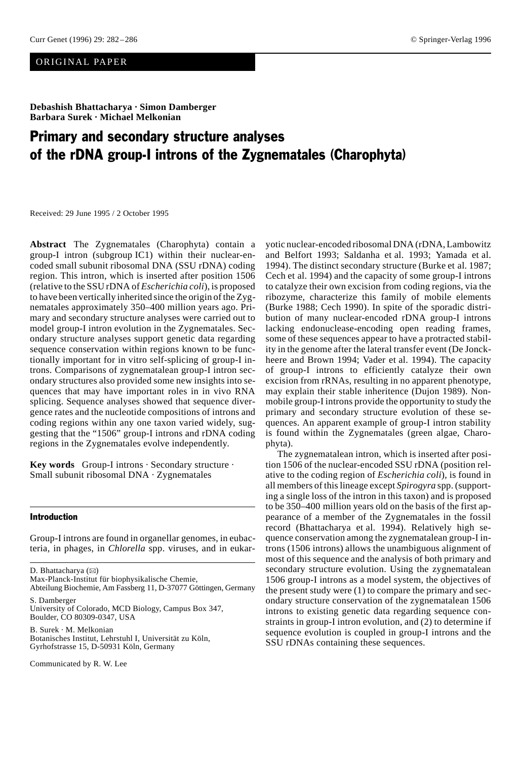# ORIGINAL PAPER

**Debashish Bhattacharya · Simon Damberger Barbara Surek · Michael Melkonian**

# Primary and secondary structure analyses of the rDNA group-I introns of the Zygnematales (Charophyta)

Received: 29 June 1995 / 2 October 1995

**Abstract** The Zygnematales (Charophyta) contain a group-I intron (subgroup IC1) within their nuclear-encoded small subunit ribosomal DNA (SSU rDNA) coding region. This intron, which is inserted after position 1506 (relative to the SSU rDNA of *Escherichia coli*), is proposed to have been vertically inherited since the origin of the Zygnematales approximately 350–400 million years ago. Primary and secondary structure analyses were carried out to model group-I intron evolution in the Zygnematales. Secondary structure analyses support genetic data regarding sequence conservation within regions known to be functionally important for in vitro self-splicing of group-I introns. Comparisons of zygnematalean group-I intron secondary structures also provided some new insights into sequences that may have important roles in in vivo RNA splicing. Sequence analyses showed that sequence divergence rates and the nucleotide compositions of introns and coding regions within any one taxon varied widely, suggesting that the "1506" group-I introns and rDNA coding regions in the Zygnematales evolve independently.

**Key words** Group-I introns · Secondary structure · Small subunit ribosomal DNA · Zygnematales

### Introduction

Group-I introns are found in organellar genomes, in eubacteria, in phages, in *Chlorella* spp. viruses, and in eukar-

D. Bhattacharya (⊠)

Max-Planck-Institut für biophysikalische Chemie,

B. Surek · M. Melkonian

Botanisches Institut, Lehrstuhl I, Universität zu Köln, Gyrhofstrasse 15, D-50931 Köln, Germany

Communicated by R. W. Lee

yotic nuclear-encoded ribosomal DNA (rDNA, Lambowitz and Belfort 1993; Saldanha et al. 1993; Yamada et al. 1994). The distinct secondary structure (Burke et al. 1987; Cech et al. 1994) and the capacity of some group-I introns to catalyze their own excision from coding regions, via the ribozyme, characterize this family of mobile elements (Burke 1988; Cech 1990). In spite of the sporadic distribution of many nuclear-encoded rDNA group-I introns lacking endonuclease-encoding open reading frames, some of these sequences appear to have a protracted stability in the genome after the lateral transfer event (De Jonckheere and Brown 1994; Vader et al. 1994). The capacity of group-I introns to efficiently catalyze their own excision from rRNAs, resulting in no apparent phenotype, may explain their stable inheritence (Dujon 1989). Nonmobile group-I introns provide the opportunity to study the primary and secondary structure evolution of these sequences. An apparent example of group-I intron stability is found within the Zygnematales (green algae, Charophyta).

The zygnematalean intron, which is inserted after position 1506 of the nuclear-encoded SSU rDNA (position relative to the coding region of *Escherichia coli*), is found in all members of this lineage except *Spirogyra* spp. (supporting a single loss of the intron in this taxon) and is proposed to be 350–400 million years old on the basis of the first appearance of a member of the Zygnematales in the fossil record (Bhattacharya et al. 1994). Relatively high sequence conservation among the zygnematalean group-I introns (1506 introns) allows the unambiguous alignment of most of this sequence and the analysis of both primary and secondary structure evolution. Using the zygnematalean 1506 group-I introns as a model system, the objectives of the present study were (1) to compare the primary and secondary structure conservation of the zygnematalean 1506 introns to existing genetic data regarding sequence constraints in group-I intron evolution, and (2) to determine if sequence evolution is coupled in group-I introns and the SSU rDNAs containing these sequences.

Abteilung Biochemie, Am Fassberg 11, D-37077 Göttingen, Germany S. Damberger

University of Colorado, MCD Biology, Campus Box 347, Boulder, CO 80309-0347, USA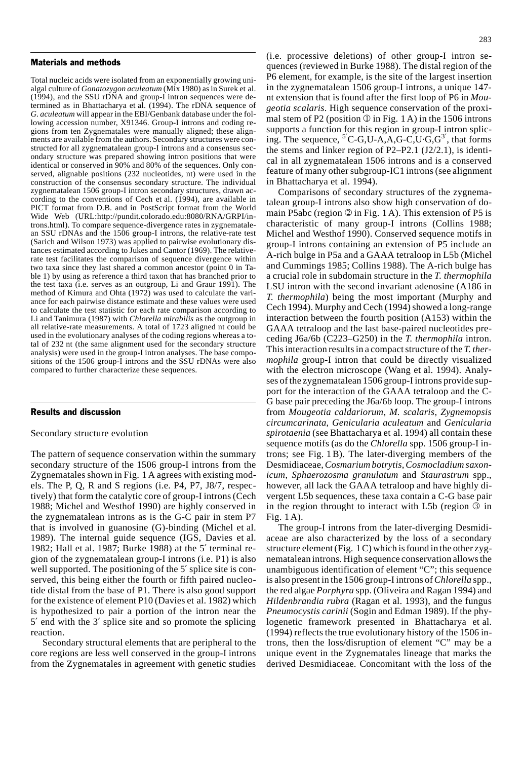#### Materials and methods

Total nucleic acids were isolated from an exponentially growing unialgal culture of *Gonatozygon aculeatum* (Mix 1980) as in Surek et al. (1994), and the SSU rDNA and group-I intron sequences were determined as in Bhattacharya et al. (1994). The rDNA sequence of *G. aculeatum* will appear in the EBI/Genbank database under the following accession number, X91346. Group-I introns and coding regions from ten Zygnematales were manually aligned; these alignments are available from the authors. Secondary structures were constructed for all zygnematalean group-I introns and a consensus secondary structure was prepared showing intron positions that were identical or conserved in 90% and 80% of the sequences. Only conserved, alignable positions (232 nucleotides, nt) were used in the construction of the consensus secondary structure. The individual zygnematalean 1506 group-I intron secondary structures, drawn according to the conventions of Cech et al. (1994), are available in PICT format from D.B. and in PostScript format from the World Wide Web (URL:http://pundit.colorado.edu:8080/RNA/GRPI/introns.html). To compare sequence-divergence rates in zygnematalean SSU rDNAs and the 1506 group-I introns, the relative-rate test (Sarich and Wilson 1973) was applied to pairwise evolutionary distances estimated according to Jukes and Cantor (1969). The relativerate test facilitates the comparison of sequence divergence within two taxa since they last shared a common ancestor (point 0 in Table 1) by using as reference a third taxon that has branched prior to the test taxa (i.e. serves as an outgroup, Li and Graur 1991). The method of Kimura and Ohta (1972) was used to calculate the variance for each pairwise distance estimate and these values were used to calculate the test statistic for each rate comparison according to Li and Tanimura (1987) with *Chlorella mirabilis* as the outgroup in all relative-rate measurements. A total of 1723 aligned nt could be used in the evolutionary analyses of the coding regions whereas a total of 232 nt (the same alignment used for the secondary structure analysis) were used in the group-I intron analyses. The base compositions of the 1506 group-I introns and the SSU rDNAs were also compared to further characterize these sequences.

#### Results and discussion

### Secondary structure evolution

The pattern of sequence conservation within the summary secondary structure of the 1506 group-I introns from the Zygnematales shown in Fig. 1 A agrees with existing models. The P, Q, R and S regions (i.e. P4, P7, J8/7, respectively) that form the catalytic core of group-I introns (Cech 1988; Michel and Westhof 1990) are highly conserved in the zygnematalean introns as is the G-C pair in stem P7 that is involved in guanosine (G)-binding (Michel et al. 1989). The internal guide sequence (IGS, Davies et al. 1982; Hall et al. 1987; Burke 1988) at the 5′ terminal region of the zygnematalean group-I introns (i.e. P1) is also well supported. The positioning of the 5' splice site is conserved, this being either the fourth or fifth paired nucleotide distal from the base of P1. There is also good support for the existence of element P10 (Davies et al. 1982) which is hypothesized to pair a portion of the intron near the 5′ end with the 3′ splice site and so promote the splicing reaction.

Secondary structural elements that are peripheral to the core regions are less well conserved in the group-I introns from the Zygnematales in agreement with genetic studies

(i.e. processive deletions) of other group-I intron sequences (reviewed in Burke 1988). The distal region of the P6 element, for example, is the site of the largest insertion in the zygnematalean 1506 group-I introns, a unique 147 nt extension that is found after the first loop of P6 in *Mougeotia scalaris*. High sequence conservation of the proximal stem of P2 (position  $\mathbb O$  in Fig. 1 A) in the 1506 introns supports a function for this region in group-I intron splicing. The sequence,  $^{5'}C$ -G,U-A,A,G-C,U·G,G<sup>3'</sup>, that forms the stems and linker region of P2–P2.1 (J2/2.1), is identical in all zygnematalean 1506 introns and is a conserved feature of many other subgroup-IC1 introns (see alignment in Bhattacharya et al. 1994).

Comparisons of secondary structures of the zygnematalean group-I introns also show high conservation of domain P5abc (region  $\oslash$  in Fig. 1 A). This extension of P5 is characteristic of many group-I introns (Collins 1988; Michel and Westhof 1990). Conserved sequence motifs in group-I introns containing an extension of P5 include an A-rich bulge in P5a and a GAAA tetraloop in L5b (Michel and Cummings 1985; Collins 1988). The A-rich bulge has a crucial role in subdomain structure in the *T. thermophila* LSU intron with the second invariant adenosine (A186 in *T. thermophila*) being the most important (Murphy and Cech 1994). Murphy and Cech (1994) showed a long-range interaction between the fourth position (A153) within the GAAA tetraloop and the last base-paired nucleotides preceding J6a/6b (C223–G250) in the *T. thermophila* intron. This interaction results in a compact structure of the *T. thermophila* group-I intron that could be directly visualized with the electron microscope (Wang et al. 1994). Analyses of the zygnematalean 1506 group-I introns provide support for the interaction of the GAAA tetraloop and the C-G base pair preceding the J6a/6b loop. The group-I introns from *Mougeotia caldariorum*, *M. scalaris*, *Zygnemopsis circumcarinata*, *Genicularia aculeatum* and *Genicularia spirotaenia* (see Bhattacharya et al. 1994) all contain these sequence motifs (as do the *Chlorella* spp. 1506 group-I introns; see Fig. 1 B). The later-diverging members of the Desmidiaceae, *Cosmarium botrytis*, *Cosmocladium saxonicum*, *Sphaerozosma granulatum* and *Staurastrum* spp., however, all lack the GAAA tetraloop and have highly divergent L5b sequences, these taxa contain a C-G base pair in the region throught to interact with L5b (region  $\circled{3}$  in Fig. 1 A).

The group-I introns from the later-diverging Desmidiaceae are also characterized by the loss of a secondary structure element (Fig. 1 C) which is found in the other zygnematalean introns. High sequence conservation allows the unambiguous identification of element "C"; this sequence is also present in the 1506 group-I introns of *Chlorella* spp., the red algae *Porphyra* spp. (Oliveira and Ragan 1994) and *Hildenbrandia rubra* (Ragan et al. 1993), and the fungus *Pneumocystis carinii* (Sogin and Edman 1989). If the phylogenetic framework presented in Bhattacharya et al. (1994) reflects the true evolutionary history of the 1506 introns, then the loss/disruption of element "C" may be a unique event in the Zygnematales lineage that marks the derived Desmidiaceae. Concomitant with the loss of the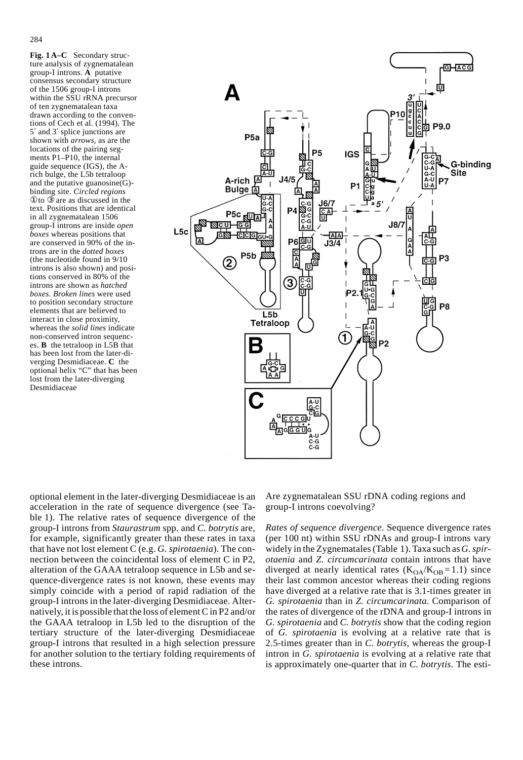**Fig. 1 A–C** Secondary structure analysis of zygnematalean group-I introns. **A** putative consensus secondary structure of the 1506 group-I introns within the SSU rRNA precursor of ten zygnematalean taxa drawn according to the conventions of Cech et al. (1994). The 5′ and 3′ splice junctions are shown with *arrows*, as are the locations of the pairing segments P1–P10, the internal guide sequence (IGS), the Arich bulge, the L5b tetraloop and the putative guanosine(G) binding site. *Circled regions*  ①to ③ are as discussed in the text. Positions that are identical in all zygnematalean 1506 group-I introns are inside *open boxes* whereas positions that are conserved in 90% of the introns are in the *dotted boxes* (the nucleotide found in 9/10 introns is also shown) and positions conserved in 80% of the introns are shown as *hatched boxes*. *Broken lines* were used to position secondary structure elements that are believed to interact in close proximity, whereas the *solid lines* indicate non-conserved intron sequences. **B** the tetraloop in L5B that has been lost from the later-diverging Desmidiaceae. **C** the optional helix "C" that has been lost from the later-diverging Desmidiaceae



optional element in the later-diverging Desmidiaceae is an acceleration in the rate of sequence divergence (see Table 1). The relative rates of sequence divergence of the group-I introns from *Staurastrum* spp. and *C. botrytis* are, for example, significantly greater than these rates in taxa that have not lost element C (e.g. *G. spirotaenia*). The connection between the coincidental loss of element C in P2, alteration of the GAAA tetraloop sequence in L5b and sequence-divergence rates is not known, these events may simply coincide with a period of rapid radiation of the group-I introns in the later-diverging Desmidiaceae. Alternatively, it is possible that the loss of element C in P2 and/or the GAAA tetraloop in L5b led to the disruption of the tertiary structure of the later-diverging Desmidiaceae group-I introns that resulted in a high selection pressure for another solution to the tertiary folding requirements of these introns.

Are zygnematalean SSU rDNA coding regions and group-I introns coevolving?

*Rates of sequence divergence*. Sequence divergence rates (per 100 nt) within SSU rDNAs and group-I introns vary widely in the Zygnematales (Table 1). Taxa such as *G. spirotaenia* and *Z. circumcarinata* contain introns that have diverged at nearly identical rates  $(K<sub>OA</sub>/K<sub>OB</sub> = 1.1)$  since their last common ancestor whereas their coding regions have diverged at a relative rate that is 3.1-times greater in *G. spirotaenia* than in *Z. circumcarinata.* Comparison of the rates of divergence of the rDNA and group-I introns in *G. spirotaenia* and *C. botrytis* show that the coding region of *G. spirotaenia* is evolving at a relative rate that is 2.5-times greater than in *C. botrytis*, whereas the group-I intron in *G. spirotaenia* is evolving at a relative rate that is approximately one-quarter that in *C. botrytis*. The esti-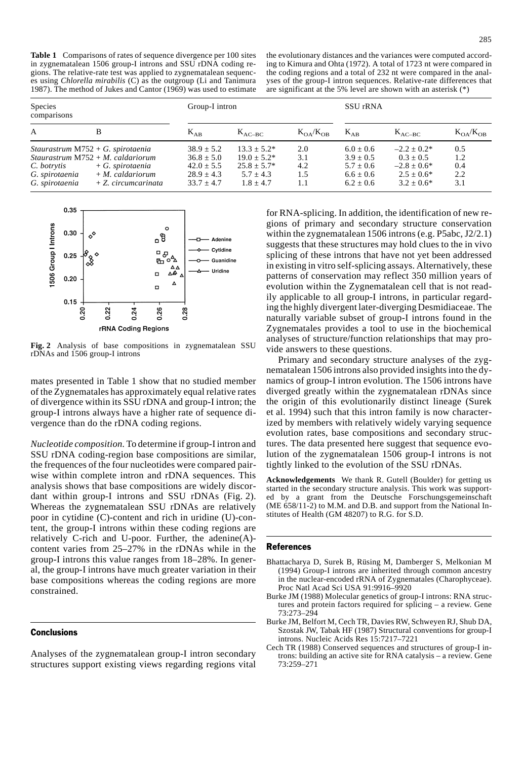**Table 1** Comparisons of rates of sequence divergence per 100 sites in zygnematalean 1506 group-I introns and SSU rDNA coding regions. The relative-rate test was applied to zygnematalean sequences using *Chlorella mirabilis* (C) as the outgroup (Li and Tanimura 1987). The method of Jukes and Cantor (1969) was used to estimate

the evolutionary distances and the variances were computed according to Kimura and Ohta (1972). A total of 1723 nt were compared in the coding regions and a total of 232 nt were compared in the analyses of the group-I intron sequences. Relative-rate differences that are significant at the 5% level are shown with an asterisk (\*)

| <b>Species</b><br>comparisons                   |                                                                                                                                                   | Group-I intron                                                                       |                                                                                        |                                 | <b>SSU</b> rRNA                                                                   |                                                                                  |                                 |
|-------------------------------------------------|---------------------------------------------------------------------------------------------------------------------------------------------------|--------------------------------------------------------------------------------------|----------------------------------------------------------------------------------------|---------------------------------|-----------------------------------------------------------------------------------|----------------------------------------------------------------------------------|---------------------------------|
| $\mathbf{A}$                                    | B                                                                                                                                                 | $K_{AB}$                                                                             | $K_{AC-BC}$                                                                            | $K_{OA}/K_{OR}$                 | $K_{AB}$                                                                          | $K_{AC-BC}$                                                                      | $K_{OA}/K_{OR}$                 |
| C. botrytis<br>G. spirotaenia<br>G. spirotaenia | Staurastrum $M752 + G$ . spirotaenia<br>Staurastrum $M752 + M$ . caldariorum<br>$+$ G. spirotaenia<br>$+ M.$ caldariorum<br>$+Z$ . circumcarinata | $38.9 \pm 5.2$<br>$36.8 \pm 5.0$<br>$42.0 \pm 5.5$<br>$28.9 + 4.3$<br>$33.7 \pm 4.7$ | $13.3 \pm 5.2^*$<br>$19.0 \pm 5.2^*$<br>$25.8 \pm 5.7^*$<br>$5.7 + 4.3$<br>$1.8 + 4.7$ | 2.0<br>3.1<br>4.2<br>1.5<br>1.1 | $6.0 \pm 0.6$<br>$3.9 \pm 0.5$<br>$5.7 \pm 0.6$<br>$6.6 \pm 0.6$<br>$6.2 \pm 0.6$ | $-2.2 + 0.2*$<br>$0.3 + 0.5$<br>$-2.8 + 0.6*$<br>$2.5 + 0.6*$<br>$3.2 \pm 0.6^*$ | 0.5<br>1.2<br>0.4<br>2.2<br>3.1 |



**Fig. 2** Analysis of base compositions in zygnematalean SSU rDNAs and 1506 group-I introns

mates presented in Table 1 show that no studied member of the Zygnematales has approximately equal relative rates of divergence within its SSU rDNA and group-I intron; the group-I introns always have a higher rate of sequence divergence than do the rDNA coding regions.

*Nucleotide composition.* To determine if group-I intron and SSU rDNA coding-region base compositions are similar, the frequences of the four nucleotides were compared pairwise within complete intron and rDNA sequences. This analysis shows that base compositions are widely discordant within group-I introns and SSU rDNAs (Fig. 2). Whereas the zygnematalean SSU rDNAs are relatively poor in cytidine (C)-content and rich in uridine (U)-content, the group-I introns within these coding regions are relatively C-rich and U-poor. Further, the adenine(A) content varies from 25–27% in the rDNAs while in the group-I introns this value ranges from 18–28%. In general, the group-I introns have much greater variation in their base compositions whereas the coding regions are more constrained.

## **Conclusions**

Analyses of the zygnematalean group-I intron secondary structures support existing views regarding regions vital

for RNA-splicing. In addition, the identification of new regions of primary and secondary structure conservation within the zygnematalean 1506 introns (e.g. P5abc, J2/2.1) suggests that these structures may hold clues to the in vivo splicing of these introns that have not yet been addressed in existing in vitro self-splicing assays. Alternatively, these patterns of conservation may reflect 350 million years of evolution within the Zygnematalean cell that is not readily applicable to all group-I introns, in particular regarding the highly divergent later-diverging Desmidiaceae. The naturally variable subset of group-I introns found in the Zygnematales provides a tool to use in the biochemical analyses of structure/function relationships that may provide answers to these questions.

Primary and secondary structure analyses of the zygnematalean 1506 introns also provided insights into the dynamics of group-I intron evolution. The 1506 introns have diverged greatly within the zygnematalean rDNAs since the origin of this evolutionarily distinct lineage (Surek et al. 1994) such that this intron family is now characterized by members with relatively widely varying sequence evolution rates, base compositions and secondary structures. The data presented here suggest that sequence evolution of the zygnematalean 1506 group-I introns is not tightly linked to the evolution of the SSU rDNAs.

**Acknowledgements** We thank R. Gutell (Boulder) for getting us started in the secondary structure analysis. This work was supported by a grant from the Deutsche Forschungsgemeinschaft (ME 658/11-2) to M.M. and D.B. and support from the National Institutes of Health (GM 48207) to R.G. for S.D.

#### References

- Bhattacharya D, Surek B, Rüsing M, Damberger S, Melkonian M (1994) Group-I introns are inherited through common ancestry in the nuclear-encoded rRNA of Zygnematales (Charophyceae). Proc Natl Acad Sci USA 91:9916–9920
- Burke JM (1988) Molecular genetics of group-I introns: RNA structures and protein factors required for splicing – a review. Gene 73:273–294
- Burke JM, Belfort M, Cech TR, Davies RW, Schweyen RJ, Shub DA, Szostak JW, Tabak HF (1987) Structural conventions for group-I introns. Nucleic Acids Res 15:7217–7221
- Cech TR (1988) Conserved sequences and structures of group-I introns: building an active site for RNA catalysis – a review. Gene 73:259–271